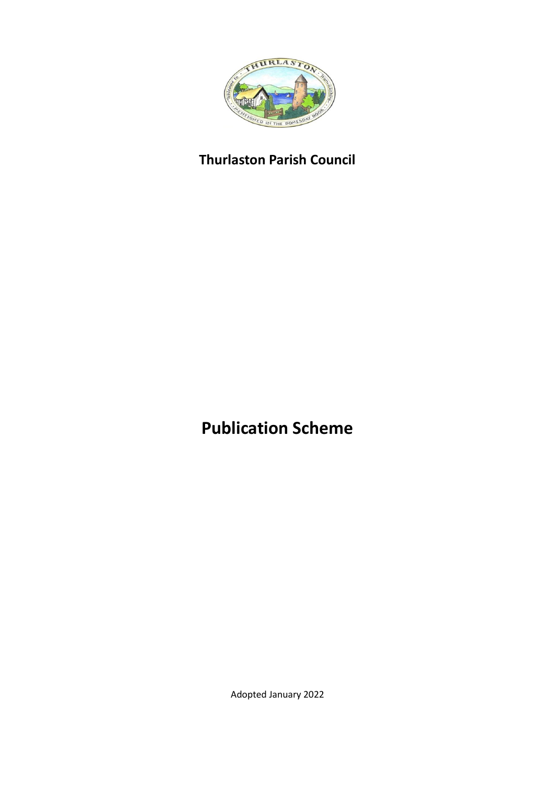

# **Thurlaston Parish Council**

**Publication Scheme**

Adopted January 2022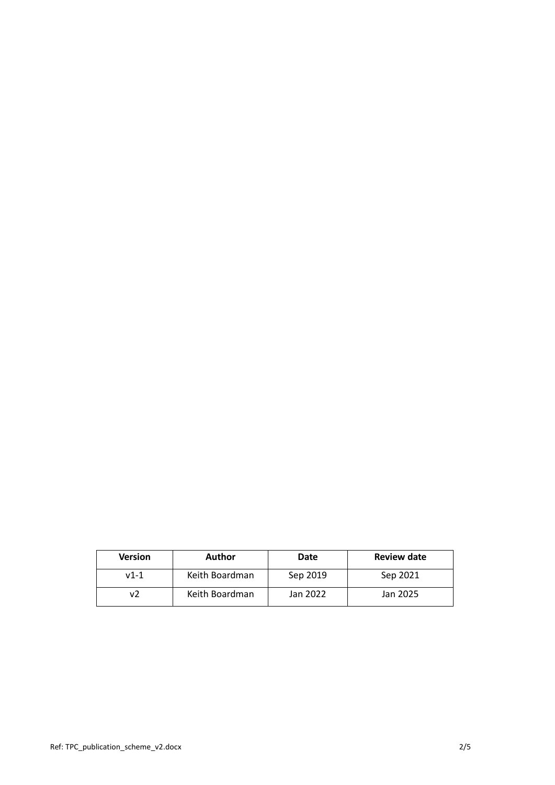| <b>Version</b> | <b>Author</b>  | Date     | <b>Review date</b> |
|----------------|----------------|----------|--------------------|
| $v1-1$         | Keith Boardman | Sep 2019 | Sep 2021           |
|                | Keith Boardman | Jan 2022 | Jan 2025           |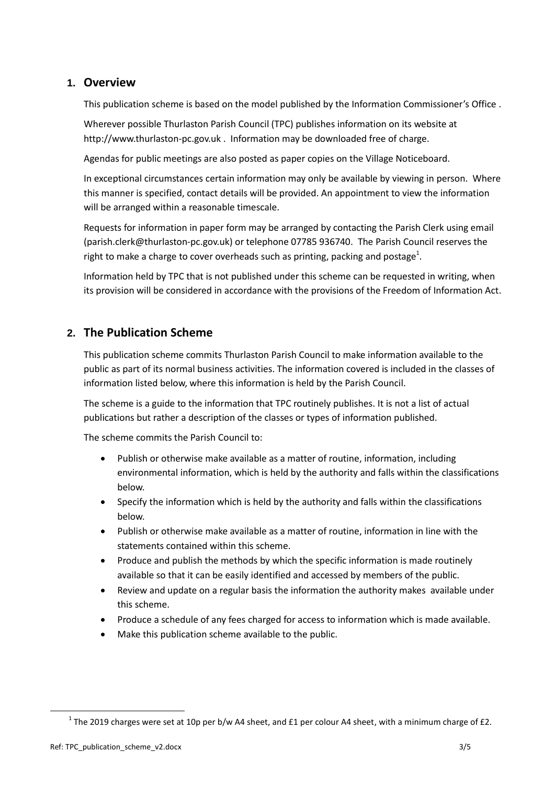## **1. Overview**

This publication scheme is based on the model published by the Information Commissioner's Office .

Wherever possible Thurlaston Parish Council (TPC) publishes information on its website at http://www.thurlaston-pc.gov.uk . Information may be downloaded free of charge.

Agendas for public meetings are also posted as paper copies on the Village Noticeboard.

In exceptional circumstances certain information may only be available by viewing in person. Where this manner is specified, contact details will be provided. An appointment to view the information will be arranged within a reasonable timescale.

Requests for information in paper form may be arranged by contacting the Parish Clerk using email (parish.clerk@thurlaston-pc.gov.uk) or telephone 07785 936740. The Parish Council reserves the right to make a charge to cover overheads such as printing, packing and postage<sup>1</sup>.

Information held by TPC that is not published under this scheme can be requested in writing, when its provision will be considered in accordance with the provisions of the Freedom of Information Act.

# **2. The Publication Scheme**

This publication scheme commits Thurlaston Parish Council to make information available to the public as part of its normal business activities. The information covered is included in the classes of information listed below, where this information is held by the Parish Council.

The scheme is a guide to the information that TPC routinely publishes. It is not a list of actual publications but rather a description of the classes or types of information published.

The scheme commits the Parish Council to:

- Publish or otherwise make available as a matter of routine, information, including environmental information, which is held by the authority and falls within the classifications below.
- Specify the information which is held by the authority and falls within the classifications below.
- Publish or otherwise make available as a matter of routine, information in line with the statements contained within this scheme.
- Produce and publish the methods by which the specific information is made routinely available so that it can be easily identified and accessed by members of the public.
- Review and update on a regular basis the information the authority makes available under this scheme.
- Produce a schedule of any fees charged for access to information which is made available.
- Make this publication scheme available to the public.

 $\ddot{\phantom{a}}$ 

<sup>&</sup>lt;sup>1</sup> The 2019 charges were set at 10p per b/w A4 sheet, and £1 per colour A4 sheet, with a minimum charge of £2.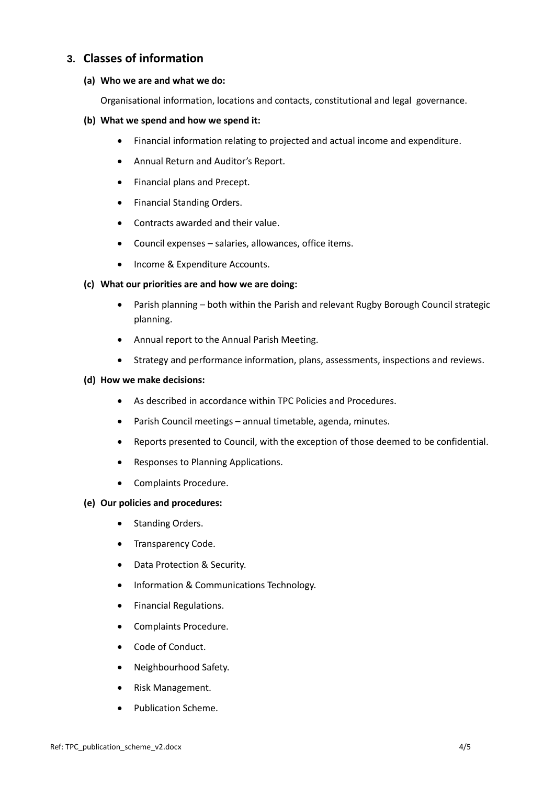## **3. Classes of information**

#### **(a) Who we are and what we do:**

Organisational information, locations and contacts, constitutional and legal governance.

#### **(b) What we spend and how we spend it:**

- Financial information relating to projected and actual income and expenditure.
- Annual Return and Auditor's Report.
- Financial plans and Precept.
- Financial Standing Orders.
- Contracts awarded and their value.
- Council expenses salaries, allowances, office items.
- Income & Expenditure Accounts.

#### **(c) What our priorities are and how we are doing:**

- Parish planning both within the Parish and relevant Rugby Borough Council strategic planning.
- Annual report to the Annual Parish Meeting.
- Strategy and performance information, plans, assessments, inspections and reviews.

#### **(d) How we make decisions:**

- As described in accordance within TPC Policies and Procedures.
- Parish Council meetings annual timetable, agenda, minutes.
- Reports presented to Council, with the exception of those deemed to be confidential.
- Responses to Planning Applications.
- Complaints Procedure.

#### **(e) Our policies and procedures:**

- Standing Orders.
- Transparency Code.
- Data Protection & Security.
- Information & Communications Technology.
- **•** Financial Regulations.
- Complaints Procedure.
- Code of Conduct.
- Neighbourhood Safety.
- Risk Management.
- Publication Scheme.